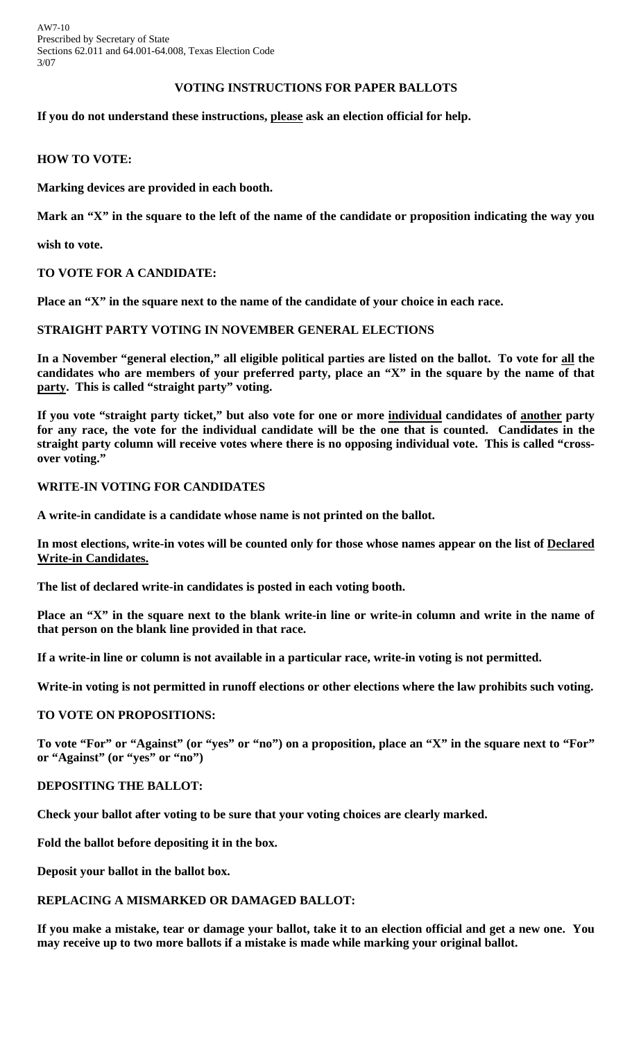AW7-10 Prescribed by Secretary of State Sections 62.011 and 64.001-64.008, Texas Election Code 3/07

# **VOTING INSTRUCTIONS FOR PAPER BALLOTS**

## **If you do not understand these instructions, please ask an election official for help.**

# **HOW TO VOTE:**

**Marking devices are provided in each booth.** 

**Mark an "X" in the square to the left of the name of the candidate or proposition indicating the way you** 

**wish to vote.** 

# **TO VOTE FOR A CANDIDATE:**

**Place an "X" in the square next to the name of the candidate of your choice in each race.** 

# **STRAIGHT PARTY VOTING IN NOVEMBER GENERAL ELECTIONS**

**In a November "general election," all eligible political parties are listed on the ballot. To vote for all the candidates who are members of your preferred party, place an "X" in the square by the name of that party. This is called "straight party" voting.** 

**If you vote "straight party ticket," but also vote for one or more individual candidates of another party for any race, the vote for the individual candidate will be the one that is counted. Candidates in the straight party column will receive votes where there is no opposing individual vote. This is called "crossover voting."** 

# **WRITE-IN VOTING FOR CANDIDATES**

**A write-in candidate is a candidate whose name is not printed on the ballot.** 

**In most elections, write-in votes will be counted only for those whose names appear on the list of Declared Write-in Candidates.** 

**The list of declared write-in candidates is posted in each voting booth.** 

Place an "X" in the square next to the blank write-in line or write-in column and write in the name of **that person on the blank line provided in that race.** 

**If a write-in line or column is not available in a particular race, write-in voting is not permitted.** 

**Write-in voting is not permitted in runoff elections or other elections where the law prohibits such voting.** 

## **TO VOTE ON PROPOSITIONS:**

**To vote "For" or "Against" (or "yes" or "no") on a proposition, place an "X" in the square next to "For" or "Against" (or "yes" or "no")** 

## **DEPOSITING THE BALLOT:**

**Check your ballot after voting to be sure that your voting choices are clearly marked.** 

**Fold the ballot before depositing it in the box.** 

**Deposit your ballot in the ballot box.** 

# **REPLACING A MISMARKED OR DAMAGED BALLOT:**

**If you make a mistake, tear or damage your ballot, take it to an election official and get a new one. You may receive up to two more ballots if a mistake is made while marking your original ballot.**